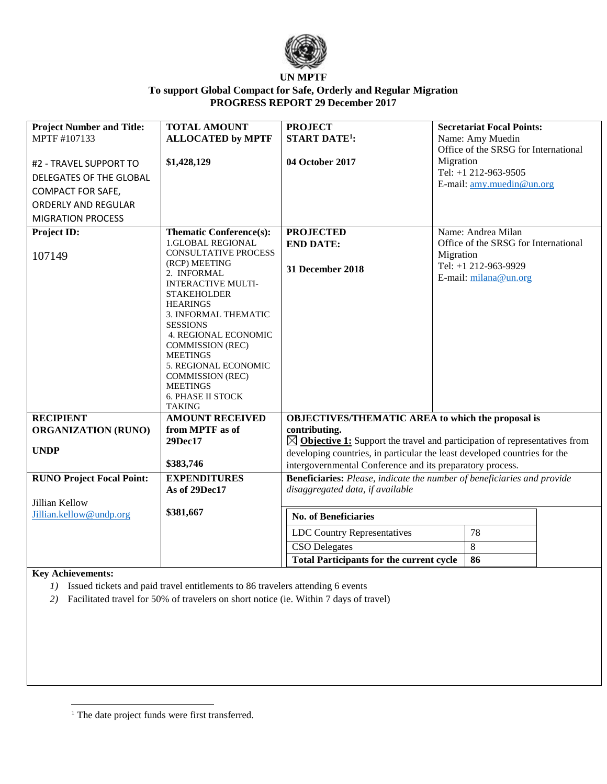

| <b>Project Number and Title:</b><br>MPTF #107133 | <b>TOTAL AMOUNT</b><br><b>ALLOCATED by MPTF</b>                                                                                                                                                                                                                                                                                                      | <b>PROJECT</b><br><b>START DATE<sup>1</sup></b> :                                                                  | <b>Secretariat Focal Points:</b><br>Name: Amy Muedin<br>Office of the SRSG for International |                                                   |  |
|--------------------------------------------------|------------------------------------------------------------------------------------------------------------------------------------------------------------------------------------------------------------------------------------------------------------------------------------------------------------------------------------------------------|--------------------------------------------------------------------------------------------------------------------|----------------------------------------------------------------------------------------------|---------------------------------------------------|--|
| #2 - TRAVEL SUPPORT TO                           | \$1,428,129                                                                                                                                                                                                                                                                                                                                          | 04 October 2017                                                                                                    | Migration                                                                                    |                                                   |  |
| DELEGATES OF THE GLOBAL                          |                                                                                                                                                                                                                                                                                                                                                      |                                                                                                                    |                                                                                              | Tel: +1 212-963-9505<br>E-mail: amy.muedin@un.org |  |
| <b>COMPACT FOR SAFE,</b>                         |                                                                                                                                                                                                                                                                                                                                                      |                                                                                                                    |                                                                                              |                                                   |  |
| <b>ORDERLY AND REGULAR</b>                       |                                                                                                                                                                                                                                                                                                                                                      |                                                                                                                    |                                                                                              |                                                   |  |
| <b>MIGRATION PROCESS</b>                         |                                                                                                                                                                                                                                                                                                                                                      |                                                                                                                    |                                                                                              |                                                   |  |
| Project ID:                                      | <b>Thematic Conference(s):</b>                                                                                                                                                                                                                                                                                                                       | <b>PROJECTED</b>                                                                                                   |                                                                                              | Name: Andrea Milan                                |  |
|                                                  | <b>1.GLOBAL REGIONAL</b>                                                                                                                                                                                                                                                                                                                             | <b>END DATE:</b>                                                                                                   |                                                                                              | Office of the SRSG for International              |  |
| 107149                                           | <b>CONSULTATIVE PROCESS</b><br>(RCP) MEETING<br>2. INFORMAL<br><b>INTERACTIVE MULTI-</b><br><b>STAKEHOLDER</b><br><b>HEARINGS</b><br>3. INFORMAL THEMATIC<br><b>SESSIONS</b><br>4. REGIONAL ECONOMIC<br><b>COMMISSION (REC)</b><br><b>MEETINGS</b><br>5. REGIONAL ECONOMIC<br><b>COMMISSION (REC)</b><br><b>MEETINGS</b><br><b>6. PHASE II STOCK</b> | <b>31 December 2018</b>                                                                                            | Migration                                                                                    | Tel: +1 212-963-9929<br>E-mail: milana@un.org     |  |
| <b>RECIPIENT</b>                                 | <b>TAKING</b><br><b>AMOUNT RECEIVED</b>                                                                                                                                                                                                                                                                                                              | <b>OBJECTIVES/THEMATIC AREA to which the proposal is</b>                                                           |                                                                                              |                                                   |  |
| <b>ORGANIZATION (RUNO)</b>                       | from MPTF as of                                                                                                                                                                                                                                                                                                                                      | contributing.                                                                                                      |                                                                                              |                                                   |  |
|                                                  | 29Dec17                                                                                                                                                                                                                                                                                                                                              | $\boxtimes$ Objective 1: Support the travel and participation of representatives from                              |                                                                                              |                                                   |  |
| <b>UNDP</b>                                      |                                                                                                                                                                                                                                                                                                                                                      | developing countries, in particular the least developed countries for the                                          |                                                                                              |                                                   |  |
|                                                  | \$383,746                                                                                                                                                                                                                                                                                                                                            | intergovernmental Conference and its preparatory process.                                                          |                                                                                              |                                                   |  |
| <b>RUNO Project Focal Point:</b>                 | <b>EXPENDITURES</b><br>As of 29Dec17                                                                                                                                                                                                                                                                                                                 | <b>Beneficiaries:</b> Please, indicate the number of beneficiaries and provide<br>disaggregated data, if available |                                                                                              |                                                   |  |
| Jillian Kellow                                   | \$381,667                                                                                                                                                                                                                                                                                                                                            |                                                                                                                    |                                                                                              |                                                   |  |
| Jillian.kellow@undp.org                          |                                                                                                                                                                                                                                                                                                                                                      | <b>No. of Beneficiaries</b>                                                                                        |                                                                                              |                                                   |  |
|                                                  |                                                                                                                                                                                                                                                                                                                                                      | <b>LDC Country Representatives</b>                                                                                 |                                                                                              | 78                                                |  |
|                                                  |                                                                                                                                                                                                                                                                                                                                                      | <b>CSO</b> Delegates                                                                                               |                                                                                              | $\,8\,$                                           |  |
|                                                  |                                                                                                                                                                                                                                                                                                                                                      | <b>Total Participants for the current cycle</b>                                                                    |                                                                                              | 86                                                |  |

#### **Key Achievements:**

 $\overline{\phantom{a}}$ 

*1)* Issued tickets and paid travel entitlements to 86 travelers attending 6 events

*2)* Facilitated travel for 50% of travelers on short notice (ie. Within 7 days of travel)

<sup>&</sup>lt;sup>1</sup> The date project funds were first transferred.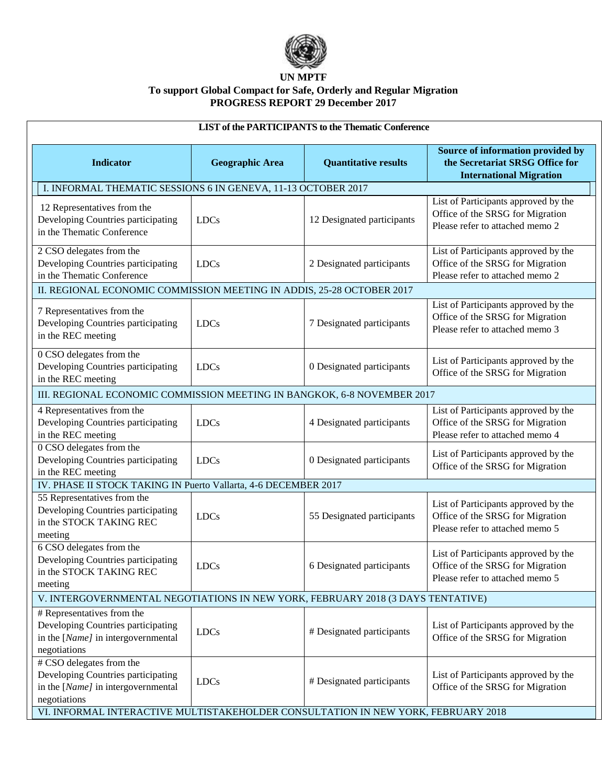

| <b>LIST of the PARTICIPANTS to the Thematic Conference</b>                                                                                                                                                |                        |                             |                                                                                                             |  |  |
|-----------------------------------------------------------------------------------------------------------------------------------------------------------------------------------------------------------|------------------------|-----------------------------|-------------------------------------------------------------------------------------------------------------|--|--|
| <b>Indicator</b>                                                                                                                                                                                          | <b>Geographic Area</b> | <b>Quantitative results</b> | Source of information provided by<br>the Secretariat SRSG Office for<br><b>International Migration</b>      |  |  |
| I. INFORMAL THEMATIC SESSIONS 6 IN GENEVA, 11-13 OCTOBER 2017                                                                                                                                             |                        |                             |                                                                                                             |  |  |
| 12 Representatives from the<br>Developing Countries participating<br>in the Thematic Conference                                                                                                           | <b>LDCs</b>            | 12 Designated participants  | List of Participants approved by the<br>Office of the SRSG for Migration<br>Please refer to attached memo 2 |  |  |
| 2 CSO delegates from the<br>Developing Countries participating<br>in the Thematic Conference                                                                                                              | <b>LDCs</b>            | 2 Designated participants   | List of Participants approved by the<br>Office of the SRSG for Migration<br>Please refer to attached memo 2 |  |  |
| II. REGIONAL ECONOMIC COMMISSION MEETING IN ADDIS, 25-28 OCTOBER 2017                                                                                                                                     |                        |                             |                                                                                                             |  |  |
| 7 Representatives from the<br>Developing Countries participating<br>in the REC meeting                                                                                                                    | <b>LDCs</b>            | 7 Designated participants   | List of Participants approved by the<br>Office of the SRSG for Migration<br>Please refer to attached memo 3 |  |  |
| 0 CSO delegates from the<br>Developing Countries participating<br>in the REC meeting                                                                                                                      | <b>LDCs</b>            | 0 Designated participants   | List of Participants approved by the<br>Office of the SRSG for Migration                                    |  |  |
| III. REGIONAL ECONOMIC COMMISSION MEETING IN BANGKOK, 6-8 NOVEMBER 2017                                                                                                                                   |                        |                             |                                                                                                             |  |  |
| 4 Representatives from the<br>Developing Countries participating<br>in the REC meeting                                                                                                                    | <b>LDCs</b>            | 4 Designated participants   | List of Participants approved by the<br>Office of the SRSG for Migration<br>Please refer to attached memo 4 |  |  |
| 0 CSO delegates from the<br>Developing Countries participating<br>in the REC meeting                                                                                                                      | <b>LDCs</b>            | 0 Designated participants   | List of Participants approved by the<br>Office of the SRSG for Migration                                    |  |  |
| IV. PHASE II STOCK TAKING IN Puerto Vallarta, 4-6 DECEMBER 2017                                                                                                                                           |                        |                             |                                                                                                             |  |  |
| 55 Representatives from the<br>Developing Countries participating<br>in the STOCK TAKING REC<br>meeting                                                                                                   | <b>LDCs</b>            | 55 Designated participants  | List of Participants approved by the<br>Office of the SRSG for Migration<br>Please refer to attached memo 5 |  |  |
| 6 CSO delegates from the<br>Developing Countries participating<br>in the STOCK TAKING REC<br>meeting                                                                                                      | <b>LDCs</b>            | 6 Designated participants   | List of Participants approved by the<br>Office of the SRSG for Migration<br>Please refer to attached memo 5 |  |  |
| V. INTERGOVERNMENTAL NEGOTIATIONS IN NEW YORK, FEBRUARY 2018 (3 DAYS TENTATIVE)                                                                                                                           |                        |                             |                                                                                                             |  |  |
| # Representatives from the<br>Developing Countries participating<br>in the [Name] in intergovernmental<br>negotiations                                                                                    | <b>LDCs</b>            | # Designated participants   | List of Participants approved by the<br>Office of the SRSG for Migration                                    |  |  |
| # CSO delegates from the<br>Developing Countries participating<br>in the [Name] in intergovernmental<br>negotiations<br>VI. INFORMAL INTERACTIVE MULTISTAKEHOLDER CONSULTATION IN NEW YORK, FEBRUARY 2018 | <b>LDCs</b>            | # Designated participants   | List of Participants approved by the<br>Office of the SRSG for Migration                                    |  |  |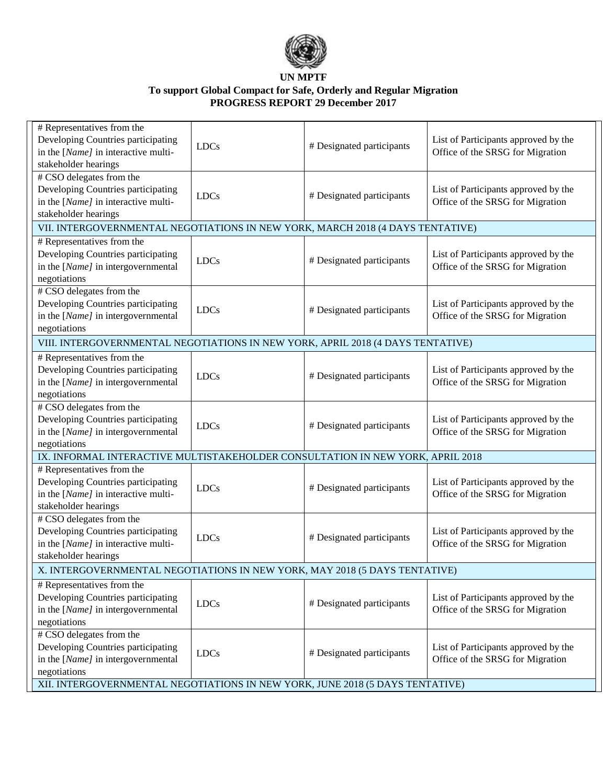

| # Representatives from the<br>Developing Countries participating<br>in the [Name] in interactive multi-<br>stakeholder hearings | <b>LDCs</b> | # Designated participants | List of Participants approved by the<br>Office of the SRSG for Migration |  |  |
|---------------------------------------------------------------------------------------------------------------------------------|-------------|---------------------------|--------------------------------------------------------------------------|--|--|
| # CSO delegates from the<br>Developing Countries participating<br>in the [Name] in interactive multi-<br>stakeholder hearings   | <b>LDCs</b> | # Designated participants | List of Participants approved by the<br>Office of the SRSG for Migration |  |  |
| VII. INTERGOVERNMENTAL NEGOTIATIONS IN NEW YORK, MARCH 2018 (4 DAYS TENTATIVE)                                                  |             |                           |                                                                          |  |  |
| # Representatives from the<br>Developing Countries participating<br>in the [Name] in intergovernmental<br>negotiations          | <b>LDCs</b> | # Designated participants | List of Participants approved by the<br>Office of the SRSG for Migration |  |  |
| # CSO delegates from the<br>Developing Countries participating<br>in the [Name] in intergovernmental<br>negotiations            | <b>LDCs</b> | # Designated participants | List of Participants approved by the<br>Office of the SRSG for Migration |  |  |
| VIII. INTERGOVERNMENTAL NEGOTIATIONS IN NEW YORK, APRIL 2018 (4 DAYS TENTATIVE)                                                 |             |                           |                                                                          |  |  |
| # Representatives from the<br>Developing Countries participating<br>in the [Name] in intergovernmental<br>negotiations          | <b>LDCs</b> | # Designated participants | List of Participants approved by the<br>Office of the SRSG for Migration |  |  |
| # CSO delegates from the<br>Developing Countries participating<br>in the [Name] in intergovernmental<br>negotiations            | <b>LDCs</b> | # Designated participants | List of Participants approved by the<br>Office of the SRSG for Migration |  |  |
| IX. INFORMAL INTERACTIVE MULTISTAKEHOLDER CONSULTATION IN NEW YORK, APRIL 2018                                                  |             |                           |                                                                          |  |  |
| # Representatives from the<br>Developing Countries participating<br>in the [Name] in interactive multi-<br>stakeholder hearings | <b>LDCs</b> | # Designated participants | List of Participants approved by the<br>Office of the SRSG for Migration |  |  |
| # CSO delegates from the<br>Developing Countries participating<br>in the [Name] in interactive multi-<br>stakeholder hearings   | <b>LDCs</b> | # Designated participants | List of Participants approved by the<br>Office of the SRSG for Migration |  |  |
| X. INTERGOVERNMENTAL NEGOTIATIONS IN NEW YORK, MAY 2018 (5 DAYS TENTATIVE)                                                      |             |                           |                                                                          |  |  |
| # Representatives from the<br>Developing Countries participating<br>in the [Name] in intergovernmental<br>negotiations          | <b>LDCs</b> | # Designated participants | List of Participants approved by the<br>Office of the SRSG for Migration |  |  |
| # CSO delegates from the<br>Developing Countries participating<br>in the [Name] in intergovernmental<br>negotiations            | <b>LDCs</b> | # Designated participants | List of Participants approved by the<br>Office of the SRSG for Migration |  |  |
| XII. INTERGOVERNMENTAL NEGOTIATIONS IN NEW YORK, JUNE 2018 (5 DAYS TENTATIVE)                                                   |             |                           |                                                                          |  |  |